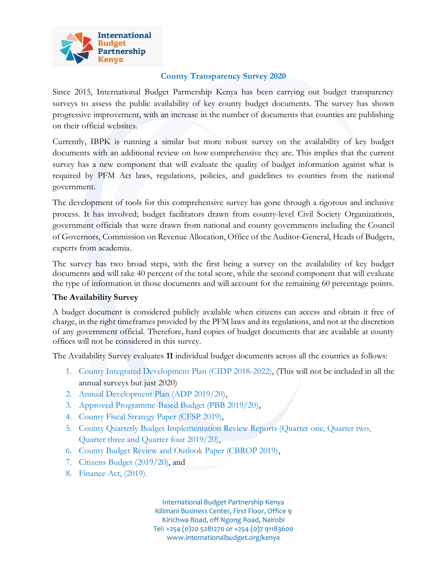

## **County Transparency Survey 2020**

Since 2015, International Budget Partnership Kenya has been carrying out budget transparency surveys to assess the public availability of key county budget documents. The survey has shown progressive improvement, with an increase in the number of documents that counties are publishing on their official websites.

Currently, IBPK is running a similar but more robust survey on the availability of key budget documents with an additional review on how comprehensive they are. This implies that the current survey has a new component that will evaluate the quality of budget information against what is required by PFM Act laws, regulations, policies, and guidelines to counties from the national government.

The development of tools for this comprehensive survey has gone through a rigorous and inclusive process. It has involved; budget facilitators drawn from county-level Civil Society Organizations, government officials that were drawn from national and county governments including the Council of Governors, Commission on Revenue Allocation, Office of the Auditor-General, Heads of Budgets, experts from academia.

The survey has two broad steps, with the first being a survey on the availability of key budget documents and will take 40 percent of the total score, while the second component that will evaluate the type of information in those documents and will account for the remaining 60 percentage points.

## **The Availability Survey**

A budget document is considered publicly available when citizens can access and obtain it free of charge, in the right timeframes provided by the PFM laws and its regulations, and not at the discretion of any government official. Therefore, hard copies of budget documents that are available at county offices will not be considered in this survey.

The Availability Survey evaluates **11** individual budget documents across all the counties as follows:

- 1. County Integrated Development Plan (CIDP 2018-2022), (This will not be included in all the annual surveys but just 2020)
- 2. Annual Development Plan (ADP 2019/20),
- 3. Approved Programme-Based Budget (PBB 2019/20),
- 4. County Fiscal Strategy Paper (CFSP 2019),
- 5. County Quarterly Budget Implementation Review Reports (Quarter one, Quarter two, Quarter three and Quarter four 2019/20),
- 6. County Budget Review and Outlook Paper (CBROP 2019),
- 7. Citizens Budget (2019/20), and
- 8. Finance Act, (2019).

International Budget Partnership Kenya Kilimani Business Center, First Floor, Office 9 Kirichwa Road, off Ngong Road, Nairobi Tel: +254 (0)20 5281270 or +254 (0)7 91183600 www.internationalbudget.org/kenya